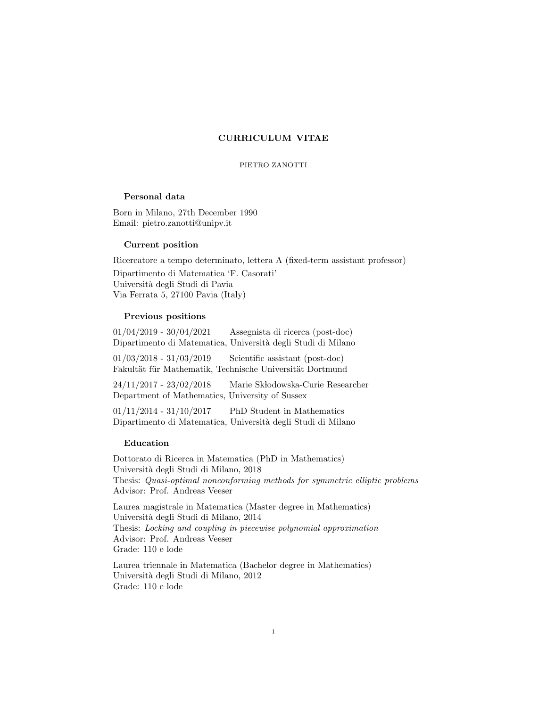# CURRICULUM VITAE

#### PIETRO ZANOTTI

# Personal data

Born in Milano, 27th December 1990 Email: pietro.zanotti@unipv.it

#### Current position

Ricercatore a tempo determinato, lettera A (fixed-term assistant professor)

Dipartimento di Matematica 'F. Casorati' Universit`a degli Studi di Pavia Via Ferrata 5, 27100 Pavia (Italy)

### Previous positions

| $01/04/2019$ - $30/04/2021$                                  | Assegnista di ricerca (post-doc) |  |  |
|--------------------------------------------------------------|----------------------------------|--|--|
| Dipartimento di Matematica, Università degli Studi di Milano |                                  |  |  |

01/03/2018 - 31/03/2019 Scientific assistant (post-doc) Fakultät für Mathematik, Technische Universität Dortmund

24/11/2017 - 23/02/2018 Marie Skłodowska-Curie Researcher Department of Mathematics, University of Sussex

01/11/2014 - 31/10/2017 PhD Student in Mathematics Dipartimento di Matematica, Universit`a degli Studi di Milano

### Education

Dottorato di Ricerca in Matematica (PhD in Mathematics) Universit`a degli Studi di Milano, 2018 Thesis: Quasi-optimal nonconforming methods for symmetric elliptic problems Advisor: Prof. Andreas Veeser

Laurea magistrale in Matematica (Master degree in Mathematics) Universit`a degli Studi di Milano, 2014 Thesis: Locking and coupling in piecewise polynomial approximation Advisor: Prof. Andreas Veeser Grade: 110 e lode

Laurea triennale in Matematica (Bachelor degree in Mathematics) Universit`a degli Studi di Milano, 2012 Grade: 110 e lode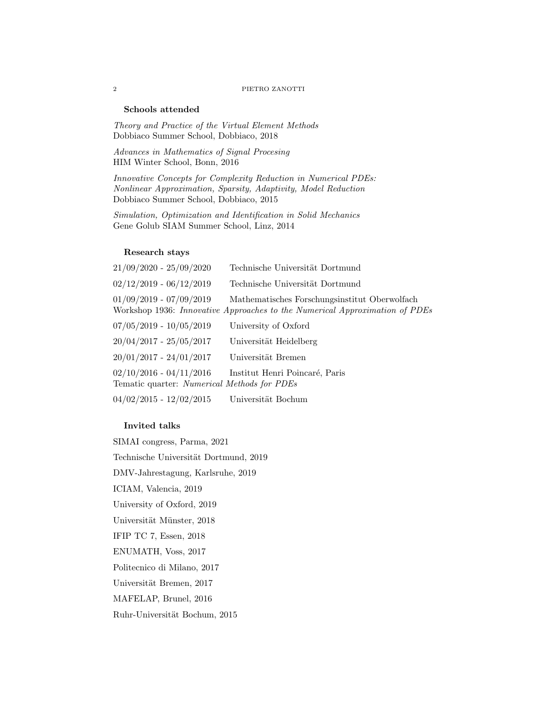## 2 PIETRO ZANOTTI

# Schools attended

Theory and Practice of the Virtual Element Methods Dobbiaco Summer School, Dobbiaco, 2018

Advances in Mathematics of Signal Procesing HIM Winter School, Bonn, 2016

Innovative Concepts for Complexity Reduction in Numerical PDEs: Nonlinear Approximation, Sparsity, Adaptivity, Model Reduction Dobbiaco Summer School, Dobbiaco, 2015

Simulation, Optimization and Identification in Solid Mechanics Gene Golub SIAM Summer School, Linz, 2014

#### Research stays

| $21/09/2020 - 25/09/2020$                                                | Technische Universität Dortmund                                                                                              |
|--------------------------------------------------------------------------|------------------------------------------------------------------------------------------------------------------------------|
| $02/12/2019 - 06/12/2019$                                                | Technische Universität Dortmund                                                                                              |
| $01/09/2019 - 07/09/2019$                                                | Mathematisches Forschungsinstitut Oberwolfach<br>Workshop 1936: Innovative Approaches to the Numerical Approximation of PDEs |
| $07/05/2019 - 10/05/2019$                                                | University of Oxford                                                                                                         |
| $20/04/2017 - 25/05/2017$                                                | Universität Heidelberg                                                                                                       |
| $20/01/2017 - 24/01/2017$                                                | Universität Bremen                                                                                                           |
| $02/10/2016 - 04/11/2016$<br>Tematic quarter: Numerical Methods for PDEs | Institut Henri Poincaré, Paris                                                                                               |
| $04/02/2015 - 12/02/2015$                                                | Universität Bochum                                                                                                           |

## Invited talks

SIMAI congress, Parma, 2021 Technische Universität Dortmund, 2019 DMV-Jahrestagung, Karlsruhe, 2019 ICIAM, Valencia, 2019 University of Oxford, 2019 Universität Münster, 2018 IFIP TC 7, Essen, 2018 ENUMATH, Voss, 2017 Politecnico di Milano, 2017 Universität Bremen, 2017 MAFELAP, Brunel, 2016 Ruhr-Universität Bochum, 2015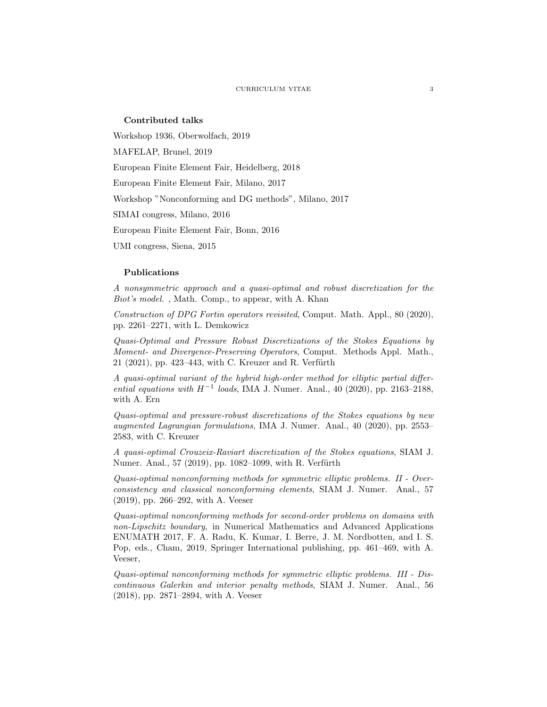## Contributed talks

Workshop 1936, Oberwolfach, 2019

MAFELAP, Brunel, 2019

European Finite Element Fair, Heidelberg, 2018

European Finite Element Fair, Milano, 2017

Workshop "Nonconforming and DG methods", Milano, 2017

SIMAI congress, Milano, 2016

European Finite Element Fair, Bonn, 2016

UMI congress, Siena, 2015

## Publications

A nonsymmetric approach and a quasi-optimal and robust discretization for the Biot's model. , Math. Comp., to appear, with A. Khan

Construction of DPG Fortin operators revisited, Comput. Math. Appl., 80 (2020), pp. 2261–2271, with L. Demkowicz

Quasi-Optimal and Pressure Robust Discretizations of the Stokes Equations by Moment- and Divergence-Preserving Operators, Comput. Methods Appl. Math.,  $21$  (2021), pp. 423–443, with C. Kreuzer and R. Verfürth

A quasi-optimal variant of the hybrid high-order method for elliptic partial differential equations with  $H^{-1}$  loads, IMA J. Numer. Anal., 40 (2020), pp. 2163-2188, with A. Ern

Quasi-optimal and pressure-robust discretizations of the Stokes equations by new augmented Lagrangian formulations, IMA J. Numer. Anal., 40 (2020), pp. 2553– 2583, with C. Kreuzer

A quasi-optimal Crouzeix-Raviart discretization of the Stokes equations, SIAM J. Numer. Anal., 57 (2019), pp. 1082–1099, with R. Verfürth

Quasi-optimal nonconforming methods for symmetric elliptic problems. II - Overconsistency and classical nonconforming elements, SIAM J. Numer. Anal., 57 (2019), pp. 266–292, with A. Veeser

Quasi-optimal nonconforming methods for second-order problems on domains with non-Lipschitz boundary, in Numerical Mathematics and Advanced Applications ENUMATH 2017, F. A. Radu, K. Kumar, I. Berre, J. M. Nordbotten, and I. S. Pop, eds., Cham, 2019, Springer International publishing, pp. 461–469, with A. Veeser,

Quasi-optimal nonconforming methods for symmetric elliptic problems. III - Discontinuous Galerkin and interior penalty methods, SIAM J. Numer. Anal., 56 (2018), pp. 2871–2894, with A. Veeser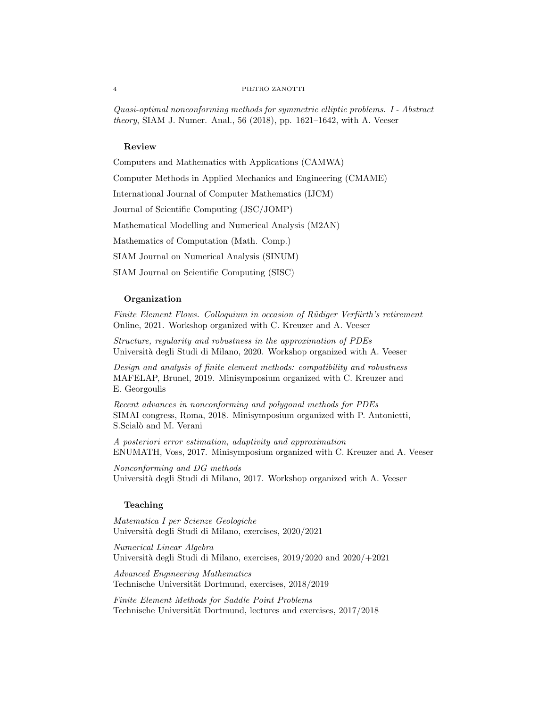#### 4 PIETRO ZANOTTI

Quasi-optimal nonconforming methods for symmetric elliptic problems. I - Abstract theory, SIAM J. Numer. Anal., 56 (2018), pp. 1621–1642, with A. Veeser

# Review

Computers and Mathematics with Applications (CAMWA)

Computer Methods in Applied Mechanics and Engineering (CMAME)

International Journal of Computer Mathematics (IJCM)

Journal of Scientific Computing (JSC/JOMP)

Mathematical Modelling and Numerical Analysis (M2AN)

Mathematics of Computation (Math. Comp.)

SIAM Journal on Numerical Analysis (SINUM)

SIAM Journal on Scientific Computing (SISC)

## Organization

Finite Element Flows. Colloquium in occasion of Rüdiger Verfürth's retirement Online, 2021. Workshop organized with C. Kreuzer and A. Veeser

Structure, regularity and robustness in the approximation of PDEs Universit`a degli Studi di Milano, 2020. Workshop organized with A. Veeser

Design and analysis of finite element methods: compatibility and robustness MAFELAP, Brunel, 2019. Minisymposium organized with C. Kreuzer and E. Georgoulis

Recent advances in nonconforming and polygonal methods for PDEs SIMAI congress, Roma, 2018. Minisymposium organized with P. Antonietti, S.Scialò and M. Verani

A posteriori error estimation, adaptivity and approximation ENUMATH, Voss, 2017. Minisymposium organized with C. Kreuzer and A. Veeser

Nonconforming and DG methods Universit`a degli Studi di Milano, 2017. Workshop organized with A. Veeser

# Teaching

Matematica I per Scienze Geologiche Universit`a degli Studi di Milano, exercises, 2020/2021

Numerical Linear Algebra Università degli Studi di Milano, exercises,  $2019/2020$  and  $2020/+2021$ 

Advanced Engineering Mathematics Technische Universität Dortmund, exercises, 2018/2019

Finite Element Methods for Saddle Point Problems Technische Universität Dortmund, lectures and exercises,  $2017/2018$